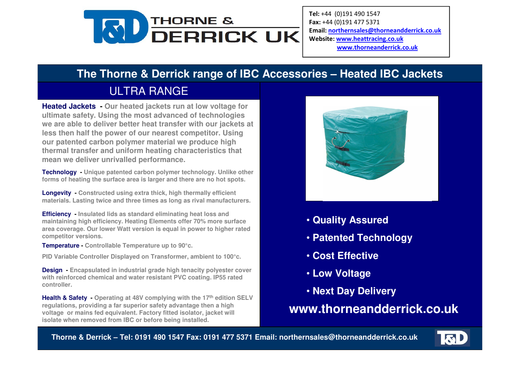

Tel: +44 (0)191 490 1547 Fax: +44 (0)191 477 5371 Email: northernsales@thorneandderrick.co.uk Website: www.heattracing.co.uk www.thorneanderrick.co.uk

## **The Thorne & Derrick range of IBC Accessories – Heated IBC Jackets**

# ULTRA RANGE

 **Heated Jackets - Our heated jackets run at low voltage for ultimate safety. Using the most advanced of technologies we are able to deliver better heat transfer with our jackets at less then half the power of our nearest competitor. Using our patented carbon polymer material we produce high thermal transfer and uniform heating characteristics that mean we deliver unrivalled performance.**

**Technology - Unique patented carbon polymer technology. Unlike other forms of heating the surface area is larger and there are no hot spots.**

**Longevity - Constructed using extra thick, high thermally efficient materials. Lasting twice and three times as long as rival manufacturers.**

**Efficiency - Insulated lids as standard eliminating heat loss and maintaining high efficiency. Heating Elements offer 70% more surface area coverage. Our lower Watt version is equal in power to higher rated competitor versions.**

**Temperature - Controllable Temperature up to 90°c.**

**PID Variable Controller Displayed on Transformer, ambient to 100°c.**

**Design - Encapsulated in industrial grade high tenacity polyester cover with reinforced chemical and water resistant PVC coating. IP55 rated controller.** 

**Health & Safety - Operating at 48V complying with the 17th edition SELV regulations, providing a far superior safety advantage then a high voltage or mains fed equivalent. Factory fitted isolator, jacket will isolate when removed from IBC or before being installed.**



- **Quality Assured**
- **Patented Technology**
- **Cost Effective**
- **Low Voltage**
- **Next Day Delivery**

**www.thorneandderrick.co.uk**

**Thorne & Derrick – Tel: 0191 490 1547 Fax: 0191 477 5371 Email: northernsales@thorneandderrick.co.uk**